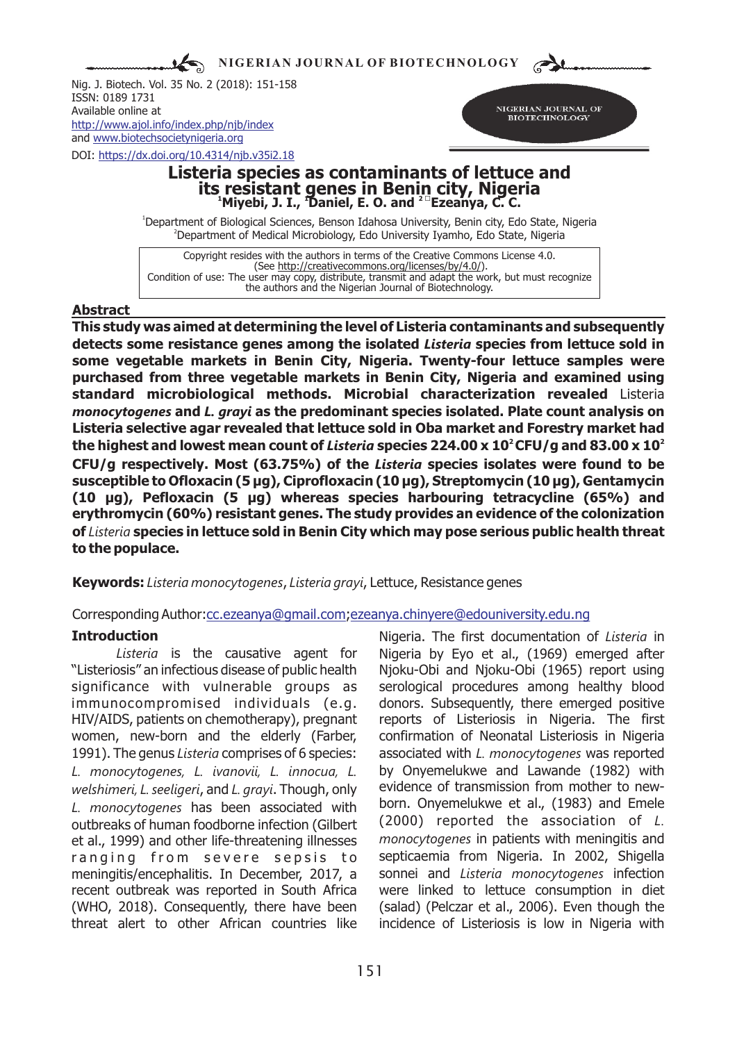**NIGERIAN JOURNAL OF BIOTECHNOLOGY**

Nig. J. Biotech. Vol. 35 No. 2 (2018): 151-158 ISSN: 0189 1731 Available online at and [www.biotechsocietynigeria.org](http://www.biotechsocietynigeria.org) <http://www.ajol.info/index.php/njb/index>



DOI: https://dx.doi.org/10.4314/njb.v35i2.18

# **Listeria species as contaminants of lettuce and its resistant genes in Benin city, Nigeria <sup>1</sup> <sup>1</sup> 2 ? Miyebi, J. I., Daniel, E. O. and Ezeanya, C. C.**

<sup>1</sup>Department of Biological Sciences, Benson Idahosa University, Benin city, Edo State, Nigeria <sup>2</sup>Department of Medical Microbiology, Edo University Iyamho, Edo State, Nigeria

Copyright resides with the authors in terms of the Creative Commons License 4.0. (See http://creativecommons.org/licenses/by/4.0/). Condition of use: The user may copy, distribute, transmit and adapt the work, but must recognize the authors and the Nigerian Journal of Biotechnology.

### **Abstract**

**This study was aimed at determining the level of Listeria contaminants and subsequently detects some resistance genes among the isolated** *Listeria* **species from lettuce sold in some vegetable markets in Benin City, Nigeria. Twenty-four lettuce samples were purchased from three vegetable markets in Benin City, Nigeria and examined using standard microbiological methods. Microbial characterization revealed** Listeria *monocytogenes* **and** *L. grayi* **as the predominant species isolated. Plate count analysis on Listeria selective agar revealed that lettuce sold in Oba market and Forestry market had 2 2 the highest and lowest mean count of** *Listeria* **species 224.00 x 10 CFU/g and 83.00 x 10 CFU/g respectively. Most (63.75%) of the** *Listeria* **species isolates were found to be susceptible to Ofloxacin (5 µg), Ciprofloxacin (10 µg), Streptomycin (10 µg), Gentamycin (10 µg), Pefloxacin (5 µg) whereas species harbouring tetracycline (65%) and erythromycin (60%) resistant genes. The study provides an evidence of the colonization of** *Listeria* **species in lettuce sold in Benin City which may pose serious public health threat to the populace.**

**Keywords:** *Listeria monocytogenes*, *Listeria grayi*, Lettuce, Resistance genes

### Corresponding Author:cc.ezeanya@gmail.com;ezeanya.chinyere@edouniversity.edu.ng

"Listeriosis" an infectious disease of public health Njoku-Obi and Njoku-Obi (1965) report using significance with vulnerable groups as serological procedures among healthy blood immunocompromised individuals (e.g. donors. Subsequently, there emerged positive HIV/AIDS, patients on chemotherapy), pregnant reports of Listeriosis in Nigeria. The first women, new-born and the elderly (Farber, confirmation of Neonatal Listeriosis in Nigeria 1991). The genus *Listeria* comprises of 6 species: associated with *L. monocytogenes* was reported *L. monocytogenes, L. ivanovii, L. innocua, L.* by Onyemelukwe and Lawande (1982) with *welshimeri, L. seeligeri, and L. grayi. Though, only* evidence of transmission from mother to new-<br>*I. monocytogenes* has been associated with born. Onyemelukwe et al., (1983) and Emele L. monocytogenes has been associated with born. Onyemelukwe et al., (1983) and Emele<br>Quithreaks of human foodborne infection (Gilbert (2000) reported the association of L. outbreaks of human foodborne infection (Gilbert) (2000) reported the association of *L.*<br>et al. 1999) and other life-threatening illnesses *monocytogenes* in patients with meningitis and et al., 1999) and other life-threatening illnesses ranging from severe sepsis to septicaemia from Nigeria. In 2002, Shigella meningitis/encephalitis. In December, 2017, a sonnei and *Listeria monocytogenes* infection recent outbreak was reported in South Africa were linked to lettuce consumption in diet (WHO, 2018). Consequently, there have been (salad) (Pelczar et al., 2006). Even though the threat alert to other African countries like incidence of Listeriosis is low in Nigeria with

**Introduction Introduction Nigeria.** The first documentation of *Listeria* in *Listeria* is the causative agent for Nigeria by Eyo et al., (1969) emerged after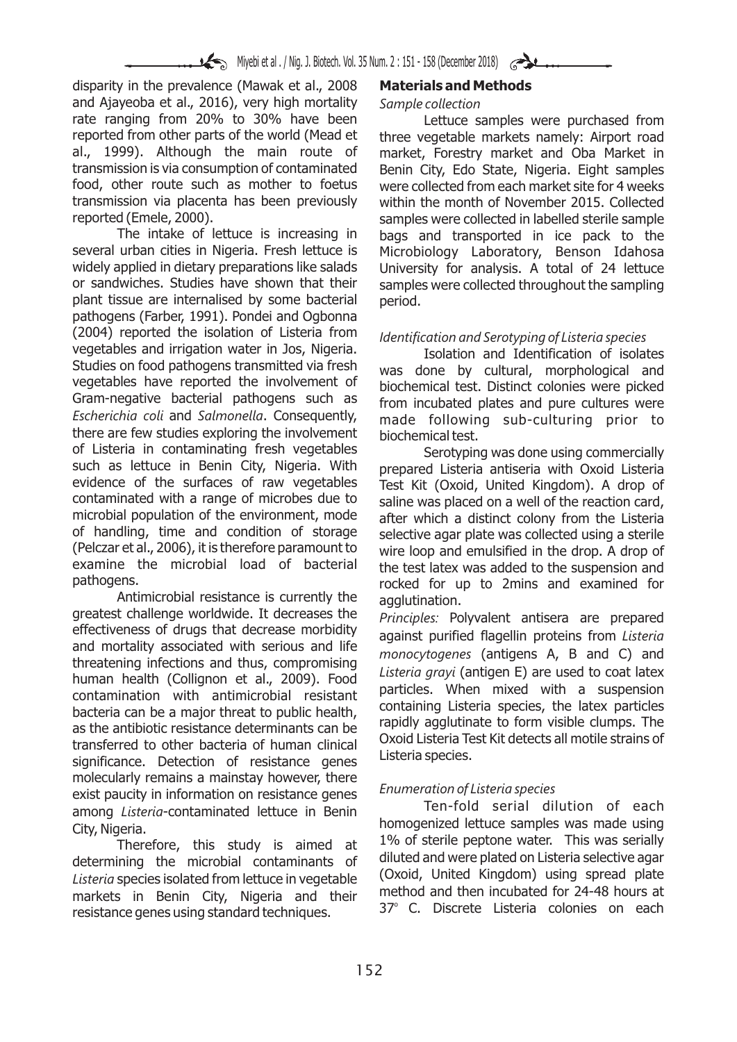disparity in the prevalence (Mawak et al., 2008 **Materials and Methods** and Ajayeoba et al., 2016), very high mortality *Sample collection*  rate ranging from 20% to 30% have been<br>reported from other parts of the world (Mead et three vegetable markets namely: Airport road reported from other parts of the world (Mead et three vegetable markets namely: Airport road<br>al., 1999). Although the main route of market, Forestry market and Oba Market in transmission is via consumption of contaminated Benin City, Edo State, Nigeria. Eight samples food, other route such as mother to foetus were collected from each market site for 4 weeks transmission via placenta has been previously within the month of November 2015. Collected<br>samples were collected in labelled sterile sample

The intake of lettuce is increasing in bags and transported in ice pack to the several urban cities in Nigeria. Fresh lettuce is Microbiology Laboratory. Benson Idahosa several urban cities in Nigeria. Fresh lettuce is Microbiology Laboratory, Benson Idahosa<br>widely applied in dietary preparations like salads University for analysis. A total of 24 lettuce widely applied in dietary preparations like salads University for analysis. A total of 24 lettuce<br>or sandwiches. Studies have shown that their samples were collected throughout the sampling plant tissue are internalised by some bacterial period. pathogens (Farber, 1991). Pondei and Ogbonna (2004) reported the isolation of Listeria from *Identification and Serotyping of Listeria species* vegetables and irrigation water in Jos, Nigeria.<br>
Solation and Identification of isolates<br>
Studies on food pathogens transmitted via fresh<br>
was done by cultural morphological and Studies on food pathogens transmitted via fresh was done by cultural, morphological and vegetables have reported the involvement of piochemical test. Distinct colonies were picked vegetables have reported the involvement of biochemical test. Distinct colonies were picked<br>Gram-negative bacterial pathogens such as from incubated plates and pure cultures were Gram-negative bacterial pathogens such as from incubated plates and pure cultures were<br>Escherichia coli and Salmonella, Consequently, made following sub-culturing prior, to there are few studies exploring the involvement biochemical test. of Listeria in contaminating fresh vegetables Serotyping was done using commercially such as lettuce in Benin City, Nigeria. With prepared Listeria antiseria with Oxoid Listeria<br>evidence of the surfaces of raw vegetables Test Kit (Oxoid United Kingdom). A drop of evidence of the surfaces of raw vegetables Test Kit (Oxoid, United Kingdom). A drop of<br>contaminated with a range of microbes due to saline was placed on a well of the reaction card contaminated with a range of microbes due to saline was placed on a well of the reaction card,<br>microbial population of the environment, mode safter which a distinct colony from the Listeria microbial population of the environment, mode after which a distinct colony from the Listeria<br>of handling, time and condition of storage selective agar plate was collected using a sterile of handling, time and condition of storage selective agar plate was collected using a sterile<br>(Pelczar et al., 2006), it is therefore paramount to wire loon and emulsified in the drop. A drop of (Pelczar et al., 2006), it is therefore paramount to wire loop and emulsified in the drop. A drop of examine the microbial load of bacterial the est latex was added to the suspension and examine the microbial load of bacterial the test latex was added to the suspension and pathogens.

Antimicrobial resistance is currently the agglutination.<br>greatest challenge worldwide. It decreases the *Principles*: Po greatest challenge worldwide. It decreases the *Principles:* Polyvalent antisera are prepared effectiveness of drugs that decrease morbidity against purified flagellin proteins from *Listeria*<br>and mortality associated with serious and life *monocytogenes* (antigens A, B and C) and threatening infections and thus, compromising<br>human health (Collignon et al., 2009). Food<br>containing listeria grayi (antigen E) are used to coat latex<br>containing health (Collignon et al., 2009). Food<br>particles. When mixed bacteria can be a major threat to public health, containing Listeria species, the latex particles bacteria species backer in a major threat to public health, containing a steria species, the clumps. The as the antibiotic resistance determinants can be  $\frac{1}{2}$  and  $\frac{1}{2}$  determinants of transferred to other bacteria of human clinical  $\frac{1}{2}$  oxoid Listeria Test Kit detects all motile strains of transferred to other significance. Detection of resistance genes molecularly remains a mainstay however, there exist paucity in information on resistance genes *Enumeration of Listeria species* among *Listeria*-contaminated lettuce in Benin homogenized lettuce samples was made using City, Nigeria.

determining the microbial contaminants of diluted and were plated on Listeria selective agar<br>distaria species isolated from lettuce in vegetable (Oxoid, United Kingdom) using spread plate (Oxoid, United Kingdom) using spread plate *Listeria* species isolated from lettuce in vegetable markets in Benin City, Nigeria and their resistance genes using standard techniques. 37° C. Discrete Listeria colonies on each

market, Forestry market and Oba Market in were collected from each market site for 4 weeks reported (Emele, 2000).<br>The intake of lettuce is increasing in shads and transported in ice pack to the samples were collected throughout the sampling

made following sub-culturing prior to

rocked for up to 2mins and examined for

Ten-fold serial dilution of each Therefore, this study is aimed at  $1\%$  of sterile peptone water. This was serially Therefore, this study is aimed at  $1\%$  of sterile peptone water. This was serially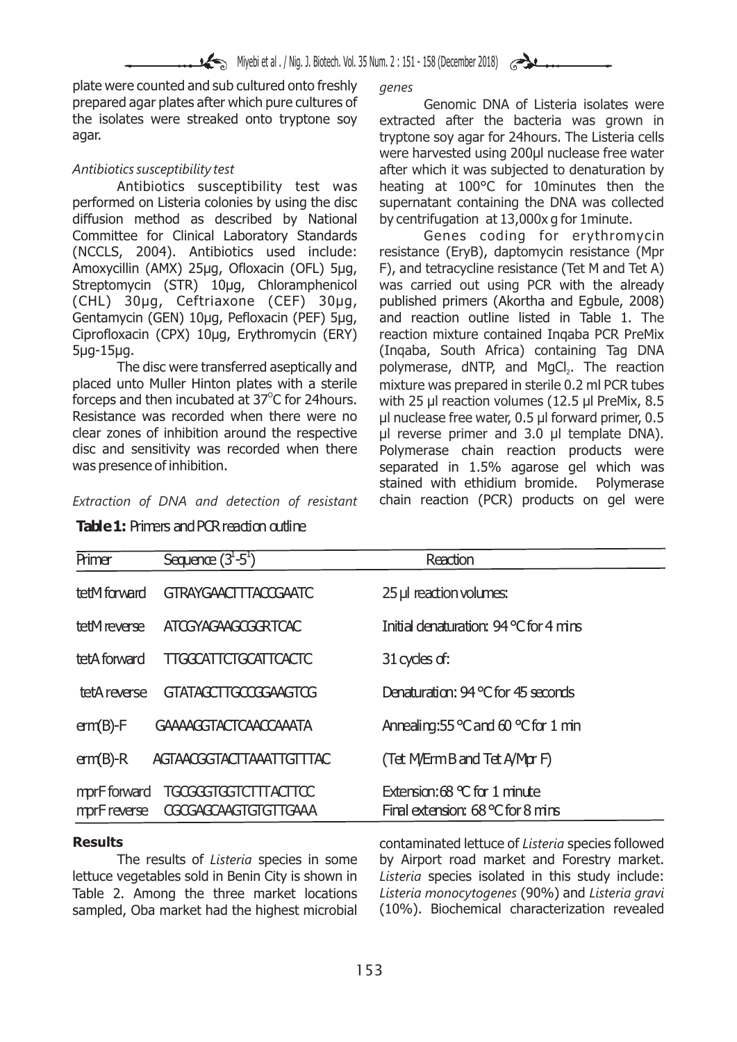plate were counted and sub cultured onto freshly prepared agar plates after which pure cultures of the isolates were streaked onto tryptone soy agar.

### *Antibiotics susceptibility test*

Antibiotics susceptibility test was performed on Listeria colonies by using the disc diffusion method as described by National Committee for Clinical Laboratory Standards (NCCLS, 2004). Antibiotics used include: Amoxycillin (AMX) 25µg, Ofloxacin (OFL) 5µg, , Streptomycin (STR) 10µg, Chloramphenicol (CHL) 30µg, Ceftriaxone (CEF) 30µg, published primers (Akortha and Egbule, 2008) Gentamycin (GEN) 10µg, Pefloxacin (PEF) 5µg, Ciprofloxacin (CPX) 10µg, Erythromycin (ERY) 5µg-15µg.

The disc were transferred aseptically and placed unto Muller Hinton plates with a sterile forceps and then incubated at 37 $^{\circ}$ C for 24hours. Resistance was recorded when there were no clear zones of inhibition around the respective disc and sensitivity was recorded when there Polymerase chain reaction products were<br>was presence of inhibition. Separated in 1.5% agarose gel which was

*Extraction of DNA and detection of resistant* 

### *genes*

Genomic DNA of Listeria isolates were extracted after the bacteria was grown in tryptone soy agar for 24hours. The Listeria cells were harvested using 200µl nuclease free water after which it was subjected to denaturation by heating at 100°C for 10minutes then the supernatant containing the DNA was collected by centrifugation at 13,000x g for 1minute.

separated in 1.5% agarose gel which was stained with ethidium bromide. Polymerase chain reaction (PCR) products on gel were Genes coding for erythromycin resistance (EryB), daptomycin resistance (Mpr F), and tetracycline resistance (Tet M and Tet A) was carried out using PCR with the already and reaction outline listed in Table 1. The reaction mixture contained Inqaba PCR PreMix (Inqaba, South Africa) containing Tag DNA polymerase, dNTP, and MgCl<sub>2</sub>. The reaction mixture was prepared in sterile 0.2 ml PCR tubes with 25 µl reaction volumes (12.5 µl PreMix, 8.5 µl nuclease free water, 0.5 µl forward primer, 0.5 µl reverse primer and 3.0 µl template DNA).

| Primer                       | Sequence $(31-51)$                                         | Reaction                                                           |
|------------------------------|------------------------------------------------------------|--------------------------------------------------------------------|
| tetM forward                 | GTRAYGAACTTTACCGAATC                                       | 25 µl reaction volumes:                                            |
| tetM reverse                 | ATCGYAGAAGCGGRTCAC                                         | Initial denaturation: 94 °C for 4 mins                             |
| tetA forward                 | <b>TTGGCATTCTGCATTCACTC</b>                                | $31$ cycles of:                                                    |
| tetA reverse                 | GTATAGCTTGCCGGAAGTCG                                       | Denaturation: 94 °C for 45 seconds                                 |
| $em(B)$ -F                   | GAAAAGGTACTCAACCAAATA                                      | Annealing: $55^{\circ}$ C and 60 $^{\circ}$ C for 1 min            |
| $em(B)$ -R                   | AGTAACGGTACTTAAATTGTTTAC                                   | (Tet MErmB and Tet A/Mpr F)                                        |
| mprF forward<br>mprF reverse | <b>TGCGGGTGGTCTTTACTTCC</b><br><b>CGCGAGCAAGTGTGTTGAAA</b> | Extension: 68 °C for 1 minute<br>Final extension: 68 °C for 8 mins |

# **Table 1:** Primers and PCR reaction outline

lettuce vegetables sold in Benin City is shown in *Listeria* species isolated in this study include: Table 2. Among the three market locations *Listeria monocytogenes* (90%) and *Listeria gravi*  sampled, Oba market had the highest microbial (10%). Biochemical characterization revealed

**Results** contaminated lettuce of *Listeria* species followed The results of *Listeria* species in some by Airport road market and Forestry market.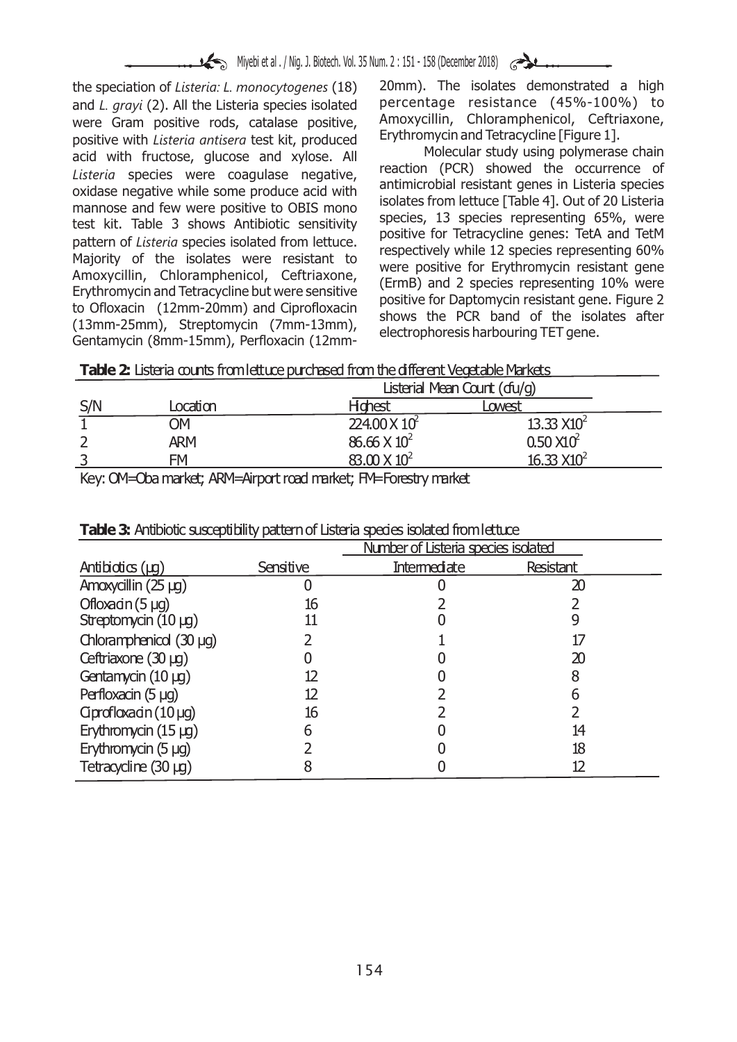the speciation of *Listeria: L. monocytogenes* (18) 20mm). The isolates demonstrated a high and *L. aravi* (2). All the Listeria species isolated percentage resistance (45%-100%) to and *L. grayi* (2). All the Listeria species isolated percentage resistance (45%-100%) to were Gram positive rods, catalase positive, Amoxycillin, Chloramphenicol, Ceftri<br>Amoxycilin, Chloramphenicol, Ceftria<br>Rositive with Listeria antisera test kit, produced Erythromycin and Tetracycline [Figure 1]. Erythromycin and Tetracycline [Figure 1]. positive with *Listeria antisera* test kit, produced acid with fructose, glucose and xylose. All acid with fructose, glucose and xylose. All acid Molecular study using polymerase chain acid with fructose, generalises pogetive reaction (PCR) showed the occurrence of Listeria species were coagulase negative,<br>
oxidase negative while some produce acid with<br>
mannose and few were positive to OBIS mono<br>
test kit. Table 3 shows Antibiotic sensitivity<br>
pattern of Listeria species isolated fro Majority of the isolates were resistant to<br>Amoxycillin, Chloramphenicol, Ceftriaxone, were positive for Erythromycin resistant gene<br>Fig. thromagnetics between specifical (ErmB) and 2 species representing 10% were Erythromycin and Tetracycline but were sensitive<br>to Ofloxacin (12mm-20mm) and Ciprofloxacin<br>(13mm-25mm), Streptomycin (7mm-13mm),<br>Gentamycin (8mm-15mm), Perfloxacin (12mm-<br>Gentamycin (8mm-15mm), Perfloxacin (12mm-

| Table 2: Listeria counts from lettuce purchased from the different Vegetable Markets |
|--------------------------------------------------------------------------------------|
|--------------------------------------------------------------------------------------|

|              |            | Listerial Mean Count (dfu/g) |                     |  |
|--------------|------------|------------------------------|---------------------|--|
| S/N          | Location   | Highest                      | Lowest              |  |
|              | OМ         | $224.00 \times 10^2$         | $13.33 \times 10^2$ |  |
|              | <b>ARM</b> | $86.66 \times 10^{2}$        | $0.50 \times 10^2$  |  |
|              | FM         | $83,00 \times 10^2$          | $16.33 \times 10^2$ |  |
| ----<br>$ -$ | .          | .                            |                     |  |

Key: OM=Oba market; ARM=Airport road market; FM=Forestry market

|                            | Number of Listeria species isolated |                     |                  |
|----------------------------|-------------------------------------|---------------------|------------------|
| Antibiotics $(\mu q)$      | Sensitive                           | <b>Intermediate</b> | <b>Resistant</b> |
| Amoxycillin $(25 \mu g)$   |                                     |                     | 20               |
| Ofloxadn $(5 \mu g)$       | 16                                  |                     |                  |
| Streptomycin $(10 \mu g)$  |                                     |                     |                  |
| Chloramphenicol (30 µg)    |                                     |                     |                  |
| Ceftriaxone $(30 \mu g)$   |                                     |                     | 20               |
| Gentamycin $(10 \mu g)$    | כו                                  |                     |                  |
| Perfloxacin (5 µg)         | 12                                  |                     |                  |
| $Gprflox$ adn $(10 \mu q)$ | 16                                  |                     |                  |
| Erythromycin $(15 \mu g)$  | h                                   |                     | 14               |
| Erythromycin (5 µg)        |                                     |                     | 18               |
| Tetracycline $(30 \mu g)$  |                                     |                     |                  |

|  | Table 3: Antibiotic susceptibility pattern of Listeria species isolated from lettuce |  |  |  |
|--|--------------------------------------------------------------------------------------|--|--|--|
|--|--------------------------------------------------------------------------------------|--|--|--|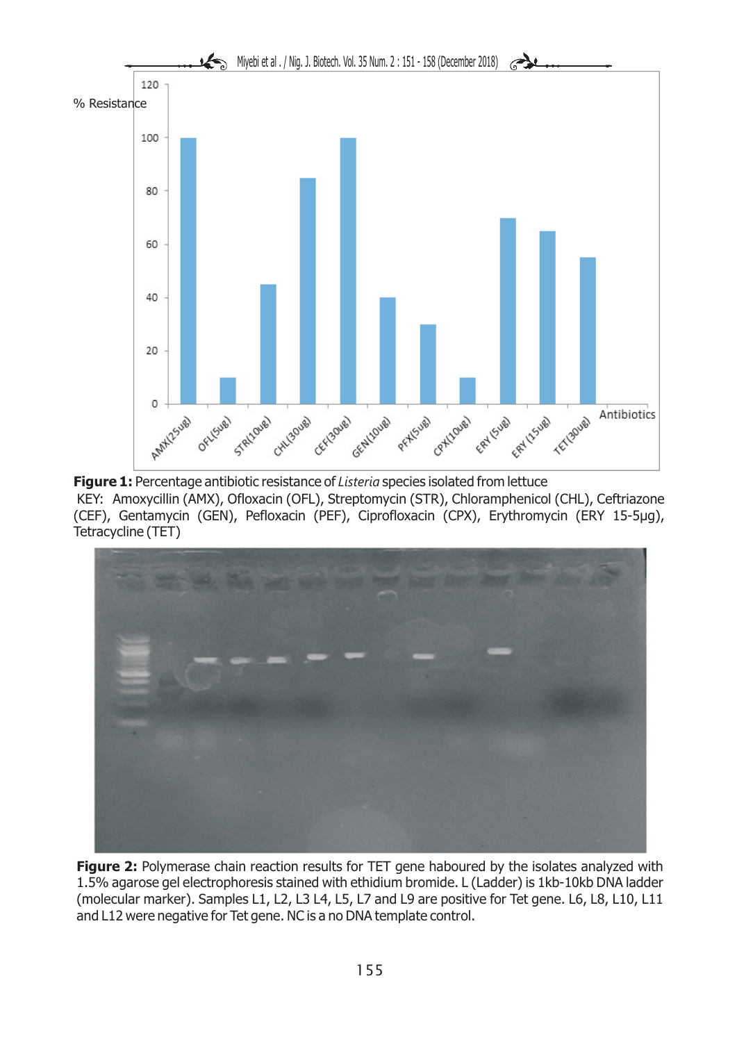

**Figure 1:** Percentage antibiotic resistance of *Listeria* species isolated from lettuce KEY: Amoxycillin (AMX), Ofloxacin (OFL), Streptomycin (STR), Chloramphenicol (CHL), Ceftriazone (CEF), Gentamycin (GEN), Pefloxacin (PEF), Ciprofloxacin (CPX), Erythromycin (ERY 15-5µg), Tetracycline (TET)



**Figure 2:** Polymerase chain reaction results for TET gene haboured by the isolates analyzed with 1.5% agarose gel electrophoresis stained with ethidium bromide. L (Ladder) is 1kb-10kb DNA ladder (molecular marker). Samples L1, L2, L3 L4, L5, L7 and L9 are positive for Tet gene. L6, L8, L10, L11 and L12 were negative for Tet gene. NC is a no DNA template control.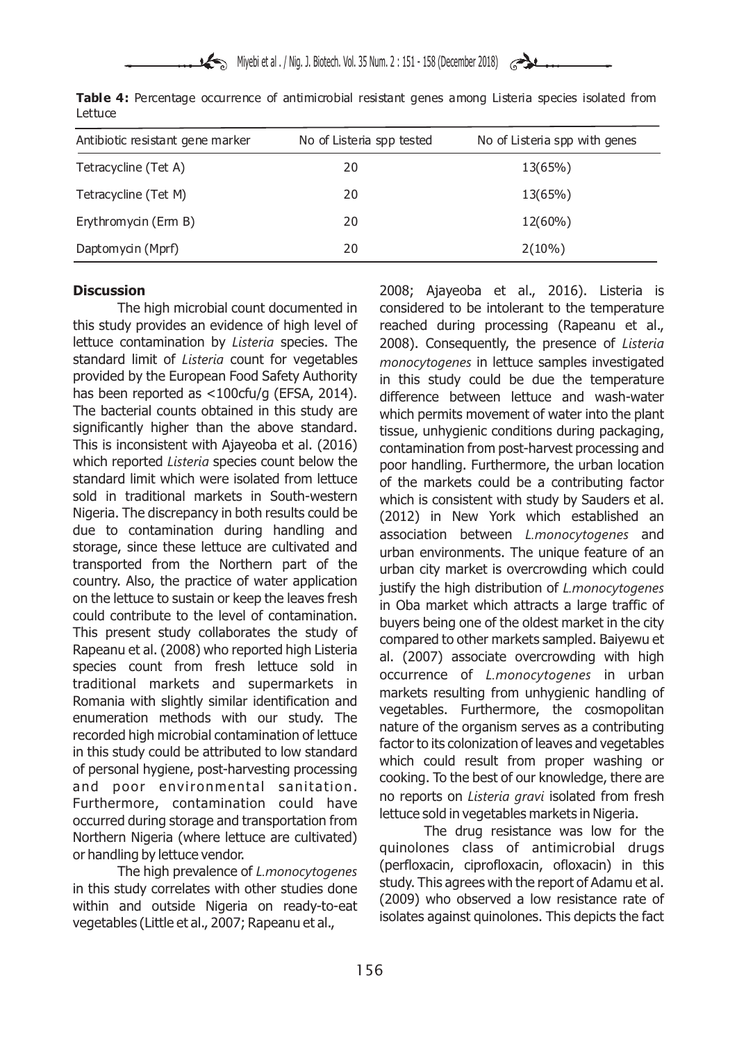| Antibiotic resistant gene marker | No of Listeria spp tested | No of Listeria spp with genes |
|----------------------------------|---------------------------|-------------------------------|
| Tetracycline (Tet A)             | 20                        | 13(65%)                       |
| Tetracycline (Tet M)             | 20                        | 13(65%)                       |
| Erythromycin (Erm B)             | 20                        | 12(60%)                       |
| Daptomycin (Mprf)                | 20                        | $2(10\%)$                     |

**Table 4:** Percentage occurrence of antimicrobial resistant genes among Listeria species isolated from **Lettuce** 

this study provides an evidence of high level of reached during processing (Rapeanu et al., lettuce contamination by *Listeria* species. The 2008). Consequently, the presence of *Listeria*  standard limit of *Listeria* count for vegetables *monocytogenes* in lettuce samples investigated<br>provided by the European Food Safety Authority in this study could be due the temperature provided by the European Food Safety Authority in this study could be due the temperature<br>has been reported as <100cfu/g (EFSA, 2014). difference, between, lettuce, and wash-water has been reported as <100cfu/g (EFSA, 2014). difference between lettuce and wash-water<br>The bacterial counts obtained in this study are which permits movement of water into the plant The bacterial counts obtained in this study are which permits movement of water into the plant<br>significantly higher than the above standard. Hissue unbygienic conditions during packaging significantly higher than the above standard. tissue, unhygienic conditions during packaging,<br>This is inconsistent with Ajayeoba et al. (2016) contamination from post-harvest processing and This is inconsistent with Ajayeoba et al.  $(2016)$  contamination from post-harvest processing and which reported Listeria species count below the concretenting. Furthermore, the urban location which reported *Listeria* species count below the poor handling. Furthermore, the urban location<br>standard limit which were isolated from lettuce of the markets could be a contributing factor standard limit which were isolated from lettuce of the markets could be a contributing factor<br>sold in traditional markets in South-western which is consistent with study by Sauders et al. sold in traditional markets in South-western which is consistent with study by Sauders et al.<br>Nigeria. The discrepancy in both results could be (2012) in New York, which established an Nigeria. The discrepancy in both results could be (2012) in New York which established an<br>due to contamination during handling and association between Lmonocytogenes and due to contamination during handling and association between *L.monocytogenes* and storage, since these lettuce are cultivated and a urban environments. The unique feature of an transported from the Northern part of the authority market is expressively equid transported from the Northern part of the urban city market is overcrowding which could<br>country. Also, the practice of water application suctify the high distribution of Languagy togenes country. Also, the practice of water application justify the high distribution of *L.monocytogenes* on the lettuce to sustain or keep the leaves fresh in Oba market which attracts a large traffic of<br>could contribute to the level of contamination.<br>This present study collaborates the study of<br>Rapeanu et al. (2008) who repo species count from fresh lettuce sold in traditional markets and supermarkets in markets and supermarkets in markets resulting from unhygienic handling of Romania with slightly similar identification and vegetables. Furthermore, the cosmopolitan enumeration methods with our study. The enumeration methods with our study. The nature of the organism serves as a contributing recorded high microbial contamination of lettuce Factor to its colonization of leaves and vegetables<br>in this study could be attributed to low standard<br>of personal hygiene, post-harvesting processing<br>cooking. To the best of our knowledge, there are and poor environmental sanitation. no reports on *Listeria gravi* isolated from fresh<br>Furthermore, contamination could have lettuce sold in vegetables markets in Nigeria. occurred during storage and transportation from detuce sold in vegetables markets in Nigeria.<br>The drug resistance was low for the Northern Nigeria (where lettuce are cultivated) or handling by lettuce vendor.

in this study correlates with other studies done<br>unithin and outside. Nigeria on ready to eat. (2009) who observed a low resistance rate of within and outside Nigeria on ready-to-eat (2009) who observed a low resistance rate of within and outside Nigeria on ready-to-eat isolates against quinolones. This depicts the fact vegetables (Little et al., 2007; Rapeanu et al.,

**Discussion** 2008; Ajayeoba et al., 2016). Listeria is The high microbial count documented in considered to be intolerant to the temperature al. (2007) associate overcrowding with high occurrence of *L.monocytogenes* in urban

quinolones class of antimicrobial drugs (perfloxacin, ciprofloxacin, ofloxacin) in this The high prevalence of *L.monocytogenes*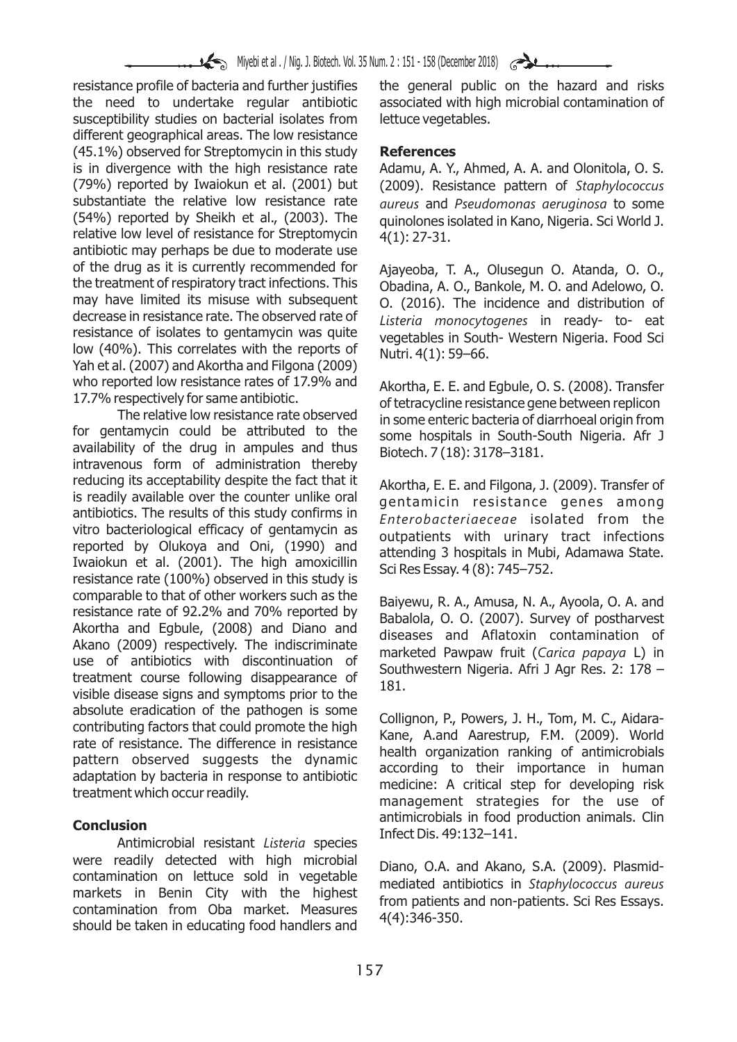## Miyebi et al . / Nig. J. Biotech. Vol. 35 Num.  $2:151 - 158$  (December 2018)

resistance profile of bacteria and further justifies the general public on the hazard and risks the need to undertake regular antibiotic associated with high microbial contamination of susceptibility studies on bacterial isolates from lettuce vegetables. different geographical areas. The low resistance (45.1%) observed for Streptomycin in this study **References** is in divergence with the high resistance rate Adamu, A. Y., Ahmed, A. A. and Olonitola, O. S. (79%) reported by Iwaiokun et al. (2001) but (2009). Resistance pattern of *Staphylococcus*  substantiate the relative low resistance rate *aureus* and *Pseudomonas aeruginosa* to some (54%) reported by Sheikh et al., (2003). The *aurinolones* isolated in Kano Nigeria Sci World 1 relative low level of resistance for Streptomycin  $4(1)$ : 27-31. antibiotic may perhaps be due to moderate use of the drug as it is currently recommended for Ajayeoba, T. A., Olusegun O. Atanda, O. O., the treatment of respiratory tract infections. This Ohadina A. O. Bankole, M. O. and Adelowo, O. the treatment of respiratory tract infections. This considina, A. O., Bankole, M. O. and Adelowo, O.<br>The incidence and distribution of may have limited its misuse with subsequent  $\sigma$  (2016). The incidence and distribution of decrease in resistance rate. The observed rate of  $\sigma$  is the readydecrease in resistance rate. The observed rate of *Listeria monocytogenes* in ready- to- eat low (40%). This correlates with the reports of Nutri.  $4(1)$ : 59–66. Yah et al. (2007) and Akortha and Filgona (2009) who reported low resistance rates of 17.9% and Akortha, E. E. and Egbule, O. S. (2008). Transfer<br>17.7% respectively for same antibiotic.

The relative low resistance rate observed in some enteric bacteria of diarrhoeal origin from<br>for gentamycin could be attributed to the some bespitals in South-South Nigoria, Afr. 1 availability of the drug in ampules and thus Biotech. 7 (18): 3178–3181. intravenous form of administration thereby reducing its acceptability despite the fact that it Akortha, E. E. and Filgona, J. (2009). Transfer of is readily available over the counter unlike oral and antiomicing resistance annon among is readily available over the counter unlike oral gentamicin resistance genes among<br>antibiotics. The results of this study confirms in Fateral seteriors as a siselated from the antibiotics. The results of this study confirms in *Enterobacteriaeceae* isolated from the vitro bacteriological efficacy of gentamycin as outpatients with urinary tract infections reported by Olukoya and Oni, (1990) and attending 3 hospitals in Mubi, Adamawa State.<br>Iwaiokun et al. (2001). The high amoxicillin Sci Res Essay. 4 (8): 745–752.<br>resistance rate (100%) observed in this study is comparable to that of other workers such as the<br>resistance rate of 92.2% and 70% reported by<br>Akortha and Egbule, (2008) and Diano and<br>Akano (2009) respectively. The indiscriminate<br>Akano (2009) respectively. The indiscrimin Akano (2009) respectively. The indiscriminate marketed Pawpaw fruit (*Carica papaya* L) in treatment course following disappearance of Southwestern Nigeria. Afri J Agr Res. 2: 178 – visible disease signs and symptoms prior to the absolute eradication of the pathogen is some<br>
collignon, P., Powers, J. H., Tom, M. C., Aidara-<br>
rate of resistance. The difference in resistance<br>  $\frac{1}{100}$ <br>
R. A.and Aarestrup, F.M. (2009). World pattern observed suggests the dynamic

were readily detected with high microbial Diano, O.A. and Akano, S.A. (2009). Plasmid-<br>contamination on lettuce sold in vegetable mediated antibiotics in *Staphylococcus aureus* markets in Benin City with the highest From patients and non-patients. Sci Res Essays.<br>contamination from Oba market. Measures 4(4):346-350.<br>should be taken in educating food handlers and

quinolones isolated in Kano, Nigeria. Sci World J.

vegetables in South- Western Nigeria. Food Sci

respectively for same antibiotic.  $\qquad \qquad$  of tetracycline resistance gene between replicon<br>The relative low resistance rate observed in some onteris bacteria of diarrheeal erigin from some hospitals in South-South Nigeria. Afr J

health organization ranking of antimicrobials according to their importance in human adaptation by bacteria in response to antibiotic<br>treatment medicine: A critical step for developing risk<br>management strategies for the use of antimicrobials in food production animals. Clin **Conclusion** Infect Dis. 49:132–141. Antimicrobial resistant *Listeria* species